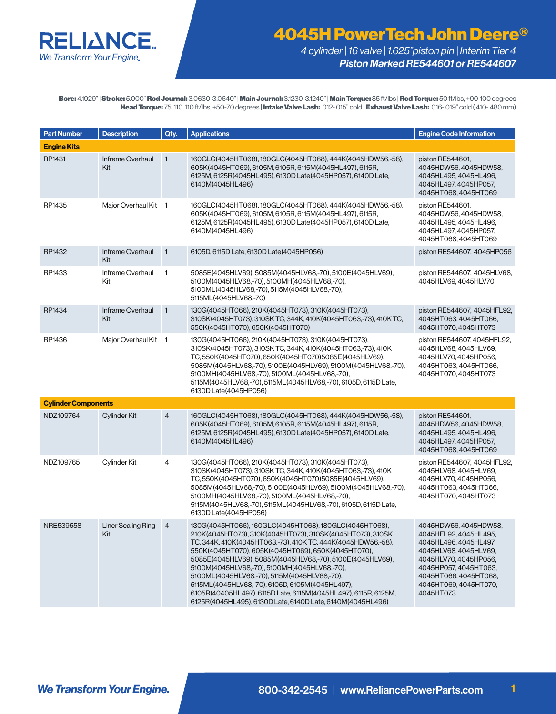

*4 cylinder | 16 valve | 1.625"piston pin | Interim Tier 4 Piston Marked RE544601 or RE544607*

Bore: 4.1929" | Stroke: 5.000" Rod Journal: 3.0630-3.0640" | Main Journal: 3.1230-3.1240" | Main Torque: 85 ft/lbs | Rod Torque: 50 ft/lbs, +90-100 degrees Head Torque: 75, 110, 110 ft/lbs, +50-70 degrees | Intake Valve Lash: .012-.015" cold | Exhaust Valve Lash: .016-.019" cold (.410-.480 mm)

| <b>Part Number</b>         | <b>Description</b>               | Qty.           | <b>Applications</b>                                                                                                                                                                                                                                                                                                                                                                                                                                                                                                                                                                       | <b>Engine Code Information</b>                                                                                                                                                                                    |
|----------------------------|----------------------------------|----------------|-------------------------------------------------------------------------------------------------------------------------------------------------------------------------------------------------------------------------------------------------------------------------------------------------------------------------------------------------------------------------------------------------------------------------------------------------------------------------------------------------------------------------------------------------------------------------------------------|-------------------------------------------------------------------------------------------------------------------------------------------------------------------------------------------------------------------|
| <b>Engine Kits</b>         |                                  |                |                                                                                                                                                                                                                                                                                                                                                                                                                                                                                                                                                                                           |                                                                                                                                                                                                                   |
| RP1431                     | Inframe Overhaul<br>Kit          | $\mathbf{1}$   | 160GLC(4045HT068), 180GLC(4045HT068), 444K(4045HDW56,-58),<br>605K(4045HT069), 6105M, 6105R, 6115M(4045HL497), 6115R,<br>6125M, 6125R(4045HL495), 6130D Late(4045HP057), 6140D Late,<br>6140M(4045HL496)                                                                                                                                                                                                                                                                                                                                                                                  | piston RE544601,<br>4045HDW56, 4045HDW58,<br>4045HL495, 4045HL496,<br>4045HL497, 4045HP057,<br>4045HT068, 4045HT069                                                                                               |
| RP1435                     | Major Overhaul Kit 1             |                | 160GLC(4045HT068), 180GLC(4045HT068), 444K(4045HDW56,-58),<br>605K(4045HT069), 6105M, 6105R, 6115M(4045HL497), 6115R,<br>6125M, 6125R(4045HL495), 6130D Late(4045HP057), 6140D Late,<br>6140M(4045HL496)                                                                                                                                                                                                                                                                                                                                                                                  | piston RE544601,<br>4045HDW56, 4045HDW58,<br>4045HL495, 4045HL496,<br>4045HL497, 4045HP057,<br>4045HT068, 4045HT069                                                                                               |
| RP1432                     | Inframe Overhaul<br>Kit          | $\overline{1}$ | 6105D, 6115D Late, 6130D Late(4045HP056)                                                                                                                                                                                                                                                                                                                                                                                                                                                                                                                                                  | piston RE544607, 4045HP056                                                                                                                                                                                        |
| RP1433                     | Inframe Overhaul<br>Kit          | $\mathbf{1}$   | 5085E(4045HLV69), 5085M(4045HLV68,-70), 5100E(4045HLV69),<br>5100M(4045HLV68,-70), 5100MH(4045HLV68,-70),<br>5100ML(4045HLV68,-70), 5115M(4045HLV68,-70),<br>5115ML(4045HLV68,-70)                                                                                                                                                                                                                                                                                                                                                                                                        | piston RE544607, 4045HLV68,<br>4045HLV69, 4045HLV70                                                                                                                                                               |
| RP1434                     | Inframe Overhaul<br>Kit          | $\mathbf{1}$   | 130G(4045HT066), 210K(4045HT073), 310K(4045HT073),<br>310SK(4045HT073), 310SK TC, 344K, 410K(4045HT063,-73), 410K TC,<br>550K(4045HT070), 650K(4045HT070)                                                                                                                                                                                                                                                                                                                                                                                                                                 | piston RE544607, 4045HFL92,<br>4045HT063, 4045HT066,<br>4045HT070.4045HT073                                                                                                                                       |
| RP1436                     | Major Overhaul Kit 1             |                | 130G(4045HT066), 210K(4045HT073), 310K(4045HT073),<br>310SK(4045HT073), 310SK TC, 344K, 410K(4045HT063,-73), 410K<br>TC, 550K(4045HT070), 650K(4045HT070)5085E(4045HLV69),<br>5085M(4045HLV68,-70), 5100E(4045HLV69), 5100M(4045HLV68,-70),<br>5100MH(4045HLV68,-70), 5100ML(4045HLV68,-70),<br>5115M(4045HLV68,-70), 5115ML(4045HLV68,-70), 6105D, 6115D Late,<br>6130D Late(4045HP056)                                                                                                                                                                                                  | piston RE544607, 4045HFL92,<br>4045HLV68, 4045HLV69,<br>4045HLV70, 4045HP056,<br>4045HT063, 4045HT066,<br>4045HT070, 4045HT073                                                                                    |
| <b>Cylinder Components</b> |                                  |                |                                                                                                                                                                                                                                                                                                                                                                                                                                                                                                                                                                                           |                                                                                                                                                                                                                   |
| NDZ109764                  | Cylinder Kit                     | 4              | 160GLC(4045HT068), 180GLC(4045HT068), 444K(4045HDW56,-58),<br>605K(4045HT069), 6105M, 6105R, 6115M(4045HL497), 6115R,<br>6125M, 6125R(4045HL495), 6130D Late(4045HP057), 6140D Late,<br>6140M(4045HL496)                                                                                                                                                                                                                                                                                                                                                                                  | piston RE544601,<br>4045HDW56, 4045HDW58,<br>4045HL495, 4045HL496,<br>4045HL497, 4045HP057,<br>4045HT068, 4045HT069                                                                                               |
| NDZ109765                  | Cylinder Kit                     | 4              | 130G(4045HT066), 210K(4045HT073), 310K(4045HT073),<br>310SK(4045HT073), 310SK TC, 344K, 410K(4045HT063,-73), 410K<br>TC, 550K(4045HT070), 650K(4045HT070)5085E(4045HLV69),<br>5085M(4045HLV68,-70), 5100E(4045HLV69), 5100M(4045HLV68,-70),<br>5100MH(4045HLV68,-70), 5100ML(4045HLV68,-70),<br>5115M(4045HLV68,-70), 5115ML(4045HLV68,-70), 6105D, 6115D Late,<br>6130D Late(4045HP056)                                                                                                                                                                                                  | piston RE544607, 4045HFL92,<br>4045HLV68, 4045HLV69,<br>4045HLV70, 4045HP056,<br>4045HT063, 4045HT066,<br>4045HT070, 4045HT073                                                                                    |
| NRE539558                  | <b>Liner Sealing Ring</b><br>Kit | $\overline{4}$ | 130G(4045HT066), 160GLC(4045HT068), 180GLC(4045HT068),<br>210K(4045HT073), 310K(4045HT073), 310SK(4045HT073), 310SK<br>TC, 344K, 410K(4045HT063,-73), 410K TC, 444K(4045HDW56,-58),<br>550K(4045HT070), 605K(4045HT069), 650K(4045HT070),<br>5085E(4045HLV69), 5085M(4045HLV68,-70), 5100E(4045HLV69),<br>5100M(4045HLV68,-70), 5100MH(4045HLV68,-70),<br>5100ML(4045HLV68,-70), 5115M(4045HLV68,-70),<br>5115ML(4045HLV68,-70), 6105D, 6105M(4045HL497),<br>6105R(40405HL497), 6115D Late, 6115M(4045HL497), 6115R, 6125M,<br>6125R(4045HL495), 6130D Late, 6140D Late, 6140M(4045HL496) | 4045HDW56, 4045HDW58,<br>4045HFL92, 4045HL495,<br>4045HL496, 4045HL497,<br>4045HLV68, 4045HLV69,<br>4045HLV70, 4045HP056,<br>4045HP057, 4045HT063,<br>4045HT066, 4045HT068,<br>4045HT069, 4045HT070,<br>4045HT073 |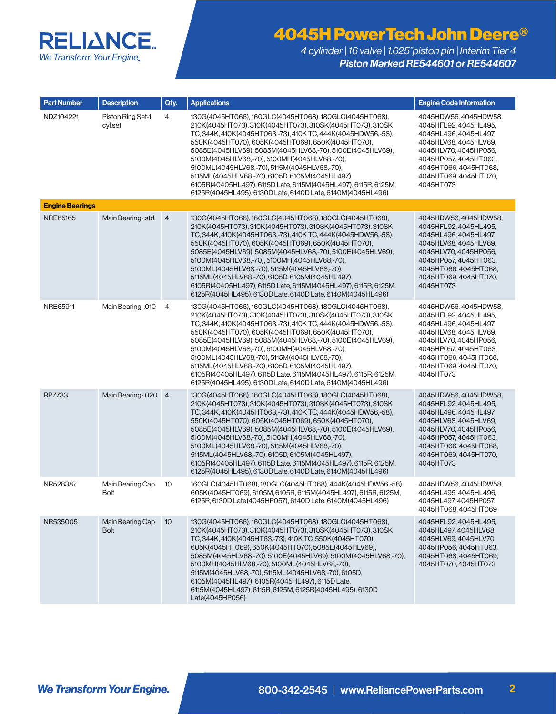

| <b>Part Number</b>     | <b>Description</b>              | Qty.            | <b>Applications</b>                                                                                                                                                                                                                                                                                                                                                                                                                                                                                                                                                                           | <b>Engine Code Information</b>                                                                                                                                                                                    |
|------------------------|---------------------------------|-----------------|-----------------------------------------------------------------------------------------------------------------------------------------------------------------------------------------------------------------------------------------------------------------------------------------------------------------------------------------------------------------------------------------------------------------------------------------------------------------------------------------------------------------------------------------------------------------------------------------------|-------------------------------------------------------------------------------------------------------------------------------------------------------------------------------------------------------------------|
| NDZ104221              | Piston Ring Set-1<br>cyl.set    | 4               | 130G(4045HT066), 160GLC(4045HT068), 180GLC(4045HT068),<br>210K(4045HT073), 310K(4045HT073), 310SK(4045HT073), 310SK<br>TC, 344K, 410K(4045HT063,-73), 410K TC, 444K(4045HDW56,-58),<br>550K(4045HT070), 605K(4045HT069), 650K(4045HT070),<br>5085E(4045HLV69), 5085M(4045HLV68,-70), 5100E(4045HLV69),<br>5100M(4045HLV68,-70), 5100MH(4045HLV68,-70),<br>5100ML(4045HLV68,-70), 5115M(4045HLV68,-70),<br>5115ML(4045HLV68,-70), 6105D, 6105M(4045HL497),<br>6105R(40405HL497), 6115D Late, 6115M(4045HL497), 6115R, 6125M,<br>6125R(4045HL495), 6130D Late, 6140D Late, 6140M(4045HL496)     | 4045HDW56, 4045HDW58,<br>4045HFL92, 4045HL495,<br>4045HL496, 4045HL497,<br>4045HLV68, 4045HLV69,<br>4045HLV70, 4045HP056,<br>4045HP057, 4045HT063,<br>4045HT066, 4045HT068,<br>4045HT069, 4045HT070,<br>4045HT073 |
| <b>Engine Bearings</b> |                                 |                 |                                                                                                                                                                                                                                                                                                                                                                                                                                                                                                                                                                                               |                                                                                                                                                                                                                   |
| NRE65165               | Main Bearing-.std               | $\overline{4}$  | 130G(4045HT066), 160GLC(4045HT068), 180GLC(4045HT068),<br>210K(4045HT073), 310K(4045HT073), 310SK(4045HT073), 310SK<br>TC, 344K, 410K (4045HT063, -73), 410K TC, 444K (4045HDW56, -58),<br>550K(4045HT070), 605K(4045HT069), 650K(4045HT070),<br>5085E(4045HLV69), 5085M(4045HLV68,-70), 5100E(4045HLV69),<br>5100M(4045HLV68,-70), 5100MH(4045HLV68,-70),<br>5100ML(4045HLV68,-70), 5115M(4045HLV68,-70),<br>5115ML(4045HLV68,-70), 6105D, 6105M(4045HL497),<br>6105R(40405HL497), 6115D Late, 6115M(4045HL497), 6115R, 6125M,<br>6125R(4045HL495), 6130D Late, 6140D Late, 6140M(4045HL496) | 4045HDW56, 4045HDW58,<br>4045HFL92, 4045HL495,<br>4045HL496, 4045HL497,<br>4045HLV68, 4045HLV69,<br>4045HLV70, 4045HP056,<br>4045HP057, 4045HT063,<br>4045HT066, 4045HT068,<br>4045HT069, 4045HT070,<br>4045HT073 |
| NRE65911               | Main Bearing-.010               | 4               | 130G(4045HT066), 160GLC(4045HT068), 180GLC(4045HT068),<br>210K(4045HT073), 310K(4045HT073), 310SK(4045HT073), 310SK<br>TC, 344K, 410K(4045HT063,-73), 410K TC, 444K(4045HDW56,-58),<br>550K(4045HT070), 605K(4045HT069), 650K(4045HT070),<br>5085E(4045HLV69), 5085M(4045HLV68,-70), 5100E(4045HLV69),<br>5100M(4045HLV68,-70), 5100MH(4045HLV68,-70),<br>5100ML(4045HLV68,-70), 5115M(4045HLV68,-70),<br>5115ML(4045HLV68,-70), 6105D, 6105M(4045HL497),<br>6105R(40405HL497), 6115D Late, 6115M(4045HL497), 6115R, 6125M,<br>6125R(4045HL495), 6130D Late, 6140D Late, 6140M(4045HL496)     | 4045HDW56, 4045HDW58,<br>4045HFL92, 4045HL495,<br>4045HL496, 4045HL497,<br>4045HLV68, 4045HLV69,<br>4045HLV70, 4045HP056,<br>4045HP057, 4045HT063,<br>4045HT066, 4045HT068,<br>4045HT069, 4045HT070,<br>4045HT073 |
| RP7733                 | Main Bearing-.020               | $\overline{4}$  | 130G(4045HT066), 160GLC(4045HT068), 180GLC(4045HT068),<br>210K(4045HT073), 310K(4045HT073), 310SK(4045HT073), 310SK<br>TC, 344K, 410K(4045HT063,-73), 410K TC, 444K(4045HDW56,-58),<br>550K(4045HT070), 605K(4045HT069), 650K(4045HT070),<br>5085E(4045HLV69), 5085M(4045HLV68,-70), 5100E(4045HLV69),<br>5100M(4045HLV68,-70), 5100MH(4045HLV68,-70),<br>5100ML(4045HLV68,-70), 5115M(4045HLV68,-70),<br>5115ML(4045HLV68,-70), 6105D, 6105M(4045HL497),<br>6105R(40405HL497), 6115D Late, 6115M(4045HL497), 6115R, 6125M,<br>6125R(4045HL495), 6130D Late, 6140D Late, 6140M(4045HL496)     | 4045HDW56, 4045HDW58,<br>4045HFL92, 4045HL495,<br>4045HL496, 4045HL497,<br>4045HLV68, 4045HLV69,<br>4045HLV70, 4045HP056,<br>4045HP057, 4045HT063,<br>4045HT066, 4045HT068,<br>4045HT069, 4045HT070,<br>4045HT073 |
| NR528387               | Main Bearing Cap<br>Bolt        | 10              | 160GLC(4045HT068), 180GLC(4045HT068), 444K(4045HDW56,-58),<br>605K(4045HT069), 6105M, 6105R, 6115M(4045HL497), 6115R, 6125M,<br>6125R, 6130D Late(4045HP057), 6140D Late, 6140M(4045HL496)                                                                                                                                                                                                                                                                                                                                                                                                    | 4045HDW56.4045HDW58.<br>4045HL495, 4045HL496,<br>4045HL497, 4045HP057,<br>4045HT068, 4045HT069                                                                                                                    |
| NR535005               | Main Bearing Cap<br><b>Bolt</b> | 10 <sup>°</sup> | 130G(4045HT066), 160GLC(4045HT068), 180GLC(4045HT068),<br>210K(4045HT073), 310K(4045HT073), 310SK(4045HT073), 310SK<br>TC, 344K, 410K(4045HT63,-73), 410K TC, 550K(4045HT070),<br>605K(4045HT069), 650K(4045HT070), 5085E(4045HLV69),<br>5085M(4045HLV68,-70),5100E(4045HLV69),5100M(4045HLV68,-70),<br>5100MH(4045HLV68,-70), 5100ML(4045HLV68,-70),<br>5115M(4045HLV68,-70), 5115ML(4045HLV68,-70), 6105D,<br>6105M(4045HL497), 6105R(4045HL497), 6115D Late,<br>6115M(4045HL497), 6115R, 6125M, 6125R(4045HL495), 6130D<br>Late(4045HP056)                                                 | 4045HFL92, 4045HL495,<br>4045HL497, 4045HLV68,<br>4045HLV69, 4045HLV70,<br>4045HP056, 4045HT063,<br>4045HT068, 4045HT069,<br>4045HT070, 4045HT073                                                                 |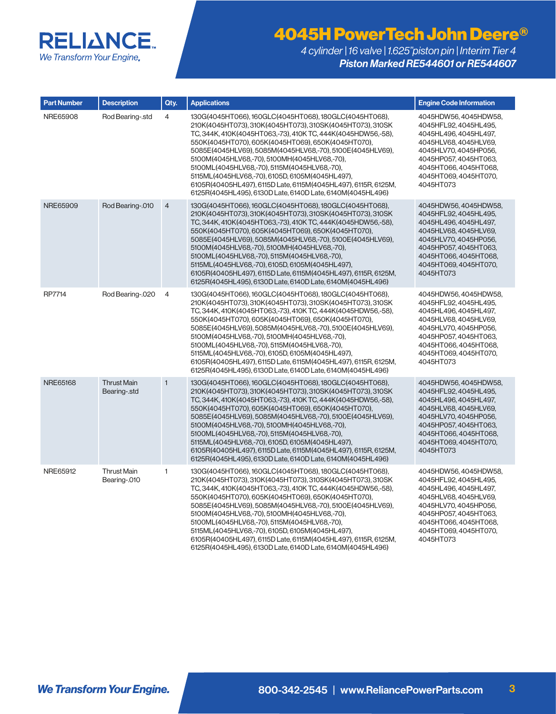

| <b>Part Number</b> | <b>Description</b>                 | Qty.           | <b>Applications</b>                                                                                                                                                                                                                                                                                                                                                                                                                                                                                                                                                                       | <b>Engine Code Information</b>                                                                                                                                                                                    |
|--------------------|------------------------------------|----------------|-------------------------------------------------------------------------------------------------------------------------------------------------------------------------------------------------------------------------------------------------------------------------------------------------------------------------------------------------------------------------------------------------------------------------------------------------------------------------------------------------------------------------------------------------------------------------------------------|-------------------------------------------------------------------------------------------------------------------------------------------------------------------------------------------------------------------|
| NRE65908           | Rod Bearing-.std                   | $\overline{4}$ | 130G(4045HT066), 160GLC(4045HT068), 180GLC(4045HT068),<br>210K(4045HT073), 310K(4045HT073), 310SK(4045HT073), 310SK<br>TC, 344K, 410K(4045HT063,-73), 410K TC, 444K(4045HDW56,-58),<br>550K(4045HT070), 605K(4045HT069), 650K(4045HT070),<br>5085E(4045HLV69), 5085M(4045HLV68,-70), 5100E(4045HLV69),<br>5100M(4045HLV68,-70), 5100MH(4045HLV68,-70),<br>5100ML(4045HLV68,-70), 5115M(4045HLV68,-70),<br>5115ML(4045HLV68,-70), 6105D, 6105M(4045HL497),<br>6105R(40405HL497), 6115D Late, 6115M(4045HL497), 6115R, 6125M,<br>6125R(4045HL495), 6130D Late, 6140D Late, 6140M(4045HL496) | 4045HDW56, 4045HDW58,<br>4045HFL92, 4045HL495,<br>4045HL496, 4045HL497,<br>4045HLV68, 4045HLV69,<br>4045HLV70, 4045HP056,<br>4045HP057, 4045HT063,<br>4045HT066, 4045HT068,<br>4045HT069, 4045HT070,<br>4045HT073 |
| NRE65909           | Rod Bearing-.010                   | $\overline{4}$ | 130G(4045HT066), 160GLC(4045HT068), 180GLC(4045HT068),<br>210K(4045HT073), 310K(4045HT073), 310SK(4045HT073), 310SK<br>TC, 344K, 410K(4045HT063,-73), 410KTC, 444K(4045HDW56,-58),<br>550K(4045HT070), 605K(4045HT069), 650K(4045HT070),<br>5085E(4045HLV69), 5085M(4045HLV68,-70), 5100E(4045HLV69),<br>5100M(4045HLV68,-70), 5100MH(4045HLV68,-70),<br>5100ML(4045HLV68,-70), 5115M(4045HLV68,-70),<br>5115ML(4045HLV68,-70), 6105D, 6105M(4045HL497),<br>6105R(40405HL497), 6115D Late, 6115M(4045HL497), 6115R, 6125M,<br>6125R(4045HL495), 6130D Late, 6140D Late, 6140M(4045HL496)  | 4045HDW56, 4045HDW58,<br>4045HFL92, 4045HL495,<br>4045HL496, 4045HL497,<br>4045HLV68, 4045HLV69,<br>4045HLV70, 4045HP056,<br>4045HP057, 4045HT063,<br>4045HT066, 4045HT068,<br>4045HT069, 4045HT070,<br>4045HT073 |
| RP7714             | Rod Bearing-.020                   | 4              | 130G(4045HT066), 160GLC(4045HT068), 180GLC(4045HT068),<br>210K(4045HT073), 310K(4045HT073), 310SK(4045HT073), 310SK<br>TC, 344K, 410K(4045HT063,-73), 410K TC, 444K(4045HDW56,-58),<br>550K(4045HT070),605K(4045HT069),650K(4045HT070),<br>5085E(4045HLV69), 5085M(4045HLV68,-70), 5100E(4045HLV69),<br>5100M(4045HLV68,-70), 5100MH(4045HLV68,-70),<br>5100ML(4045HLV68,-70), 5115M(4045HLV68,-70),<br>5115ML(4045HLV68,-70), 6105D, 6105M(4045HL497),<br>6105R(40405HL497), 6115D Late, 6115M(4045HL497), 6115R, 6125M,<br>6125R(4045HL495), 6130D Late, 6140D Late, 6140M(4045HL496)   | 4045HDW56, 4045HDW58,<br>4045HFL92, 4045HL495,<br>4045HL496, 4045HL497,<br>4045HLV68, 4045HLV69,<br>4045HLV70, 4045HP056,<br>4045HP057, 4045HT063,<br>4045HT066, 4045HT068,<br>4045HT069, 4045HT070,<br>4045HT073 |
| NRE65168           | <b>Thrust Main</b><br>Bearing-.std | $\mathbf{1}$   | 130G(4045HT066), 160GLC(4045HT068), 180GLC(4045HT068),<br>210K(4045HT073), 310K(4045HT073), 310SK(4045HT073), 310SK<br>TC, 344K, 410K(4045HT063,-73), 410KTC, 444K(4045HDW56,-58),<br>550K(4045HT070), 605K(4045HT069), 650K(4045HT070),<br>5085E(4045HLV69), 5085M(4045HLV68,-70), 5100E(4045HLV69),<br>5100M(4045HLV68,-70), 5100MH(4045HLV68,-70),<br>5100ML(4045HLV68,-70), 5115M(4045HLV68,-70),<br>5115ML(4045HLV68,-70), 6105D, 6105M(4045HL497),<br>6105R(40405HL497), 6115D Late, 6115M(4045HL497), 6115R, 6125M,<br>6125R(4045HL495), 6130D Late, 6140D Late, 6140M(4045HL496)  | 4045HDW56, 4045HDW58,<br>4045HFL92, 4045HL495,<br>4045HL496, 4045HL497,<br>4045HLV68, 4045HLV69,<br>4045HLV70, 4045HP056,<br>4045HP057, 4045HT063,<br>4045HT066, 4045HT068,<br>4045HT069, 4045HT070,<br>4045HT073 |
| NRE65912           | <b>Thrust Main</b><br>Bearing-.010 | $\mathbf{1}$   | 130G(4045HT066), 160GLC(4045HT068), 180GLC(4045HT068),<br>210K(4045HT073), 310K(4045HT073), 310SK(4045HT073), 310SK<br>TC, 344K, 410K(4045HT063,-73), 410K TC, 444K(4045HDW56,-58),<br>550K(4045HT070),605K(4045HT069),650K(4045HT070),<br>5085E(4045HLV69), 5085M(4045HLV68,-70), 5100E(4045HLV69),<br>5100M(4045HLV68,-70), 5100MH(4045HLV68,-70),<br>5100ML(4045HLV68,-70), 5115M(4045HLV68,-70),<br>5115ML(4045HLV68,-70), 6105D, 6105M(4045HL497),<br>6105R(40405HL497), 6115D Late, 6115M(4045HL497), 6115R, 6125M,<br>6125R(4045HL495), 6130D Late, 6140D Late, 6140M(4045HL496)   | 4045HDW56, 4045HDW58,<br>4045HFL92, 4045HL495,<br>4045HL496, 4045HL497,<br>4045HLV68, 4045HLV69,<br>4045HLV70, 4045HP056,<br>4045HP057, 4045HT063,<br>4045HT066, 4045HT068,<br>4045HT069, 4045HT070,<br>4045HT073 |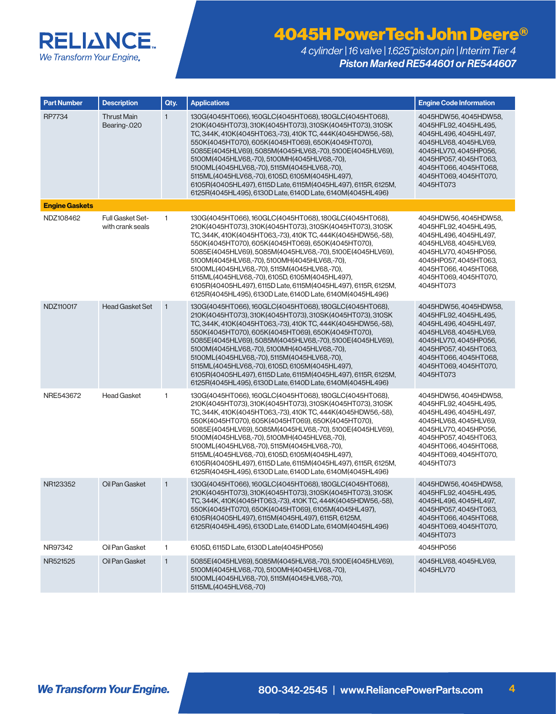

| <b>Part Number</b>    | <b>Description</b>                          | Qty.         | <b>Applications</b>                                                                                                                                                                                                                                                                                                                                                                                                                                                                                                                                                                           | <b>Engine Code Information</b>                                                                                                                                                                                    |
|-----------------------|---------------------------------------------|--------------|-----------------------------------------------------------------------------------------------------------------------------------------------------------------------------------------------------------------------------------------------------------------------------------------------------------------------------------------------------------------------------------------------------------------------------------------------------------------------------------------------------------------------------------------------------------------------------------------------|-------------------------------------------------------------------------------------------------------------------------------------------------------------------------------------------------------------------|
| RP7734                | <b>Thrust Main</b><br>Bearing-.020          | $\mathbf{1}$ | 130G(4045HT066), 160GLC(4045HT068), 180GLC(4045HT068),<br>210K(4045HT073), 310K(4045HT073), 310SK(4045HT073), 310SK<br>TC, 344K, 410K(4045HT063,-73), 410K TC, 444K(4045HDW56,-58),<br>550K(4045HT070), 605K(4045HT069), 650K(4045HT070),<br>5085E(4045HLV69), 5085M(4045HLV68,-70), 5100E(4045HLV69),<br>5100M(4045HLV68,-70), 5100MH(4045HLV68,-70),<br>5100ML(4045HLV68,-70), 5115M(4045HLV68,-70),<br>5115ML(4045HLV68,-70), 6105D, 6105M(4045HL497),<br>6105R(40405HL497), 6115D Late, 6115M(4045HL497), 6115R, 6125M,<br>6125R(4045HL495), 6130D Late, 6140D Late, 6140M(4045HL496)     | 4045HDW56, 4045HDW58,<br>4045HFL92, 4045HL495,<br>4045HL496, 4045HL497,<br>4045HLV68, 4045HLV69,<br>4045HLV70, 4045HP056,<br>4045HP057, 4045HT063,<br>4045HT066, 4045HT068,<br>4045HT069, 4045HT070,<br>4045HT073 |
| <b>Engine Gaskets</b> |                                             |              |                                                                                                                                                                                                                                                                                                                                                                                                                                                                                                                                                                                               |                                                                                                                                                                                                                   |
| NDZ108462             | <b>Full Gasket Set-</b><br>with crank seals | 1            | 130G(4045HT066), 160GLC(4045HT068), 180GLC(4045HT068),<br>210K(4045HT073), 310K(4045HT073), 310SK(4045HT073), 310SK<br>TC, 344K, 410K(4045HT063,-73), 410K TC, 444K(4045HDW56,-58),<br>550K(4045HT070), 605K(4045HT069), 650K(4045HT070),<br>5085E(4045HLV69), 5085M(4045HLV68,-70), 5100E(4045HLV69),<br>5100M(4045HLV68,-70), 5100MH(4045HLV68,-70),<br>5100ML(4045HLV68,-70), 5115M(4045HLV68,-70),<br>5115ML(4045HLV68,-70), 6105D, 6105M(4045HL497),<br>6105R(40405HL497), 6115D Late, 6115M(4045HL497), 6115R, 6125M,<br>6125R(4045HL495), 6130D Late, 6140D Late, 6140M(4045HL496)     | 4045HDW56, 4045HDW58,<br>4045HFL92, 4045HL495,<br>4045HL496, 4045HL497,<br>4045HLV68, 4045HLV69,<br>4045HLV70, 4045HP056,<br>4045HP057, 4045HT063,<br>4045HT066, 4045HT068,<br>4045HT069, 4045HT070,<br>4045HT073 |
| NDZ110017             | <b>Head Gasket Set</b>                      | $\mathbf{1}$ | 130G(4045HT066), 160GLC(4045HT068), 180GLC(4045HT068),<br>210K(4045HT073), 310K(4045HT073), 310SK(4045HT073), 310SK<br>TC, 344K, 410K (4045HT063, -73), 410K TC, 444K (4045HDW56, -58),<br>550K(4045HT070), 605K(4045HT069), 650K(4045HT070),<br>5085E(4045HLV69), 5085M(4045HLV68,-70), 5100E(4045HLV69),<br>5100M(4045HLV68,-70), 5100MH(4045HLV68,-70),<br>5100ML(4045HLV68,-70), 5115M(4045HLV68,-70),<br>5115ML(4045HLV68,-70), 6105D, 6105M(4045HL497),<br>6105R(40405HL497), 6115D Late, 6115M(4045HL497), 6115R, 6125M,<br>6125R(4045HL495), 6130D Late, 6140D Late, 6140M(4045HL496) | 4045HDW56, 4045HDW58,<br>4045HFL92, 4045HL495,<br>4045HL496, 4045HL497,<br>4045HLV68, 4045HLV69,<br>4045HLV70, 4045HP056,<br>4045HP057, 4045HT063,<br>4045HT066, 4045HT068,<br>4045HT069, 4045HT070,<br>4045HT073 |
| NRE543672             | <b>Head Gasket</b>                          | 1            | 130G(4045HT066), 160GLC(4045HT068), 180GLC(4045HT068),<br>210K(4045HT073), 310K(4045HT073), 310SK(4045HT073), 310SK<br>TC, 344K, 410K(4045HT063,-73), 410K TC, 444K(4045HDW56,-58),<br>550K(4045HT070), 605K(4045HT069), 650K(4045HT070),<br>5085E(4045HLV69), 5085M(4045HLV68,-70), 5100E(4045HLV69),<br>5100M(4045HLV68,-70), 5100MH(4045HLV68,-70),<br>5100ML(4045HLV68,-70), 5115M(4045HLV68,-70),<br>5115ML(4045HLV68,-70), 6105D, 6105M(4045HL497),<br>6105R(40405HL497), 6115D Late, 6115M(4045HL497), 6115R, 6125M,<br>6125R(4045HL495), 6130D Late, 6140D Late, 6140M(4045HL496)     | 4045HDW56, 4045HDW58,<br>4045HFL92, 4045HL495,<br>4045HL496, 4045HL497,<br>4045HLV68, 4045HLV69,<br>4045HLV70, 4045HP056,<br>4045HP057, 4045HT063,<br>4045HT066, 4045HT068,<br>4045HT069, 4045HT070,<br>4045HT073 |
| NR123352              | Oil Pan Gasket                              | $\mathbf{1}$ | 130G(4045HT066), 160GLC(4045HT068), 180GLC(4045HT068),<br>210K(4045HT073),310K(4045HT073),310SK(4045HT073),310SK<br>TC, 344K, 410K (4045HT063, -73), 410K TC, 444K (4045HDW56, -58),<br>550K(4045HT070), 650K(4045HT069), 6105M(4045HL497),<br>6105R(40405HL497), 6115M(4045HL497), 6115R, 6125M,<br>6125R(4045HL495), 6130D Late, 6140D Late, 6140M(4045HL496)                                                                                                                                                                                                                               | 4045HDW56, 4045HDW58,<br>4045HFL92, 4045HL495,<br>4045HL496, 4045HL497,<br>4045HP057, 4045HT063,<br>4045HT066, 4045HT068,<br>4045HT069, 4045HT070,<br>4045HT073                                                   |
| NR97342               | Oil Pan Gasket                              | 1            | 6105D, 6115D Late, 6130D Late(4045HP056)                                                                                                                                                                                                                                                                                                                                                                                                                                                                                                                                                      | 4045HP056                                                                                                                                                                                                         |
| NR521525              | Oil Pan Gasket                              | $\mathbf{1}$ | 5085E(4045HLV69), 5085M(4045HLV68,-70), 5100E(4045HLV69),<br>5100M(4045HLV68,-70), 5100MH(4045HLV68,-70),<br>5100ML(4045HLV68,-70), 5115M(4045HLV68,-70),<br>5115ML(4045HLV68,-70)                                                                                                                                                                                                                                                                                                                                                                                                            | 4045HLV68, 4045HLV69,<br>4045HLV70                                                                                                                                                                                |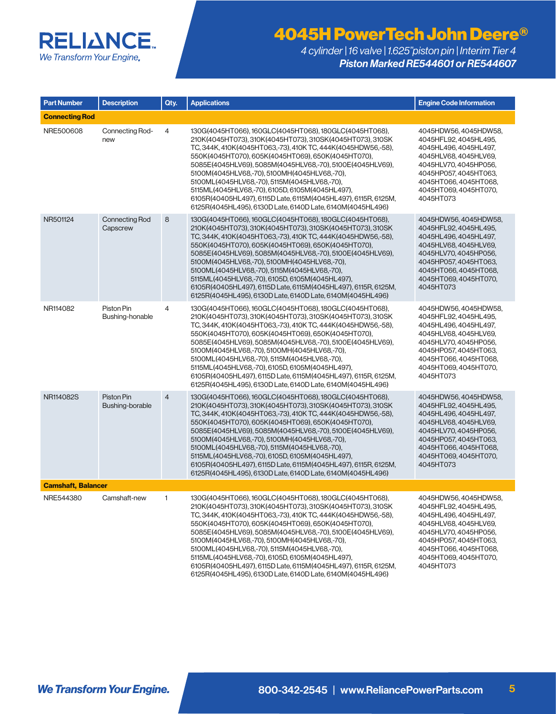

| <b>Part Number</b>    | <b>Description</b>                | Qty.           | <b>Applications</b>                                                                                                                                                                                                                                                                                                                                                                                                                                                                                                                                                                           | <b>Engine Code Information</b>                                                                                                                                                                                    |  |  |
|-----------------------|-----------------------------------|----------------|-----------------------------------------------------------------------------------------------------------------------------------------------------------------------------------------------------------------------------------------------------------------------------------------------------------------------------------------------------------------------------------------------------------------------------------------------------------------------------------------------------------------------------------------------------------------------------------------------|-------------------------------------------------------------------------------------------------------------------------------------------------------------------------------------------------------------------|--|--|
| <b>Connecting Rod</b> |                                   |                |                                                                                                                                                                                                                                                                                                                                                                                                                                                                                                                                                                                               |                                                                                                                                                                                                                   |  |  |
| NRE500608             | Connecting Rod-<br>new            | 4              | 130G(4045HT066), 160GLC(4045HT068), 180GLC(4045HT068),<br>210K(4045HT073), 310K(4045HT073), 310SK(4045HT073), 310SK<br>TC, 344K, 410K(4045HT063,-73), 410K TC, 444K(4045HDW56,-58),<br>550K(4045HT070), 605K(4045HT069), 650K(4045HT070),<br>5085E(4045HLV69), 5085M(4045HLV68,-70), 5100E(4045HLV69),<br>5100M(4045HLV68,-70), 5100MH(4045HLV68,-70),<br>5100ML(4045HLV68,-70), 5115M(4045HLV68,-70),<br>5115ML(4045HLV68,-70), 6105D, 6105M(4045HL497),<br>6105R(40405HL497), 6115D Late, 6115M(4045HL497), 6115R, 6125M,<br>6125R(4045HL495), 6130D Late, 6140D Late, 6140M(4045HL496)     | 4045HDW56, 4045HDW58,<br>4045HFL92, 4045HL495,<br>4045HL496.4045HL497.<br>4045HLV68, 4045HLV69,<br>4045HLV70, 4045HP056,<br>4045HP057, 4045HT063,<br>4045HT066, 4045HT068,<br>4045HT069, 4045HT070,<br>4045HT073  |  |  |
| NR501124              | <b>Connecting Rod</b><br>Capscrew | 8              | 130G(4045HT066), 160GLC(4045HT068), 180GLC(4045HT068),<br>210K(4045HT073), 310K(4045HT073), 310SK(4045HT073), 310SK<br>TC, 344K, 410K(4045HT063,-73), 410K TC, 444K(4045HDW56,-58),<br>550K(4045HT070), 605K(4045HT069), 650K(4045HT070),<br>5085E(4045HLV69), 5085M(4045HLV68,-70), 5100E(4045HLV69),<br>5100M(4045HLV68,-70), 5100MH(4045HLV68,-70),<br>5100ML(4045HLV68,-70), 5115M(4045HLV68,-70),<br>5115ML(4045HLV68,-70), 6105D, 6105M(4045HL497),<br>6105R(40405HL497), 6115D Late, 6115M(4045HL497), 6115R, 6125M,<br>6125R(4045HL495), 6130D Late, 6140D Late, 6140M(4045HL496)     | 4045HDW56, 4045HDW58,<br>4045HFL92, 4045HL495,<br>4045HL496, 4045HL497,<br>4045HLV68, 4045HLV69,<br>4045HLV70, 4045HP056,<br>4045HP057, 4045HT063,<br>4045HT066, 4045HT068,<br>4045HT069, 4045HT070,<br>4045HT073 |  |  |
| NR114082              | Piston Pin<br>Bushing-honable     | 4              | 130G(4045HT066), 160GLC(4045HT068), 180GLC(4045HT068),<br>210K(4045HT073), 310K(4045HT073), 310SK(4045HT073), 310SK<br>TC. 344K, 410K (4045HT063, -73), 410K TC, 444K (4045HDW56, -58),<br>550K(4045HT070), 605K(4045HT069), 650K(4045HT070),<br>5085E(4045HLV69), 5085M(4045HLV68,-70), 5100E(4045HLV69),<br>5100M(4045HLV68,-70), 5100MH(4045HLV68,-70),<br>5100ML(4045HLV68,-70), 5115M(4045HLV68,-70),<br>5115ML(4045HLV68,-70), 6105D, 6105M(4045HL497),<br>6105R(40405HL497), 6115D Late, 6115M(4045HL497), 6115R, 6125M,<br>6125R(4045HL495), 6130D Late, 6140D Late, 6140M(4045HL496) | 4045HDW56, 4045HDW58,<br>4045HFL92, 4045HL495,<br>4045HL496, 4045HL497,<br>4045HLV68, 4045HLV69,<br>4045HLV70.4045HP056.<br>4045HP057, 4045HT063,<br>4045HT066, 4045HT068,<br>4045HT069, 4045HT070,<br>4045HT073  |  |  |
| NR114082S             | Piston Pin<br>Bushing-borable     | $\overline{4}$ | 130G(4045HT066), 160GLC(4045HT068), 180GLC(4045HT068),<br>210K(4045HT073), 310K(4045HT073), 310SK(4045HT073), 310SK<br>TC, 344K, 410K(4045HT063,-73), 410K TC, 444K(4045HDW56,-58),<br>550K(4045HT070), 605K(4045HT069), 650K(4045HT070),<br>5085E(4045HLV69), 5085M(4045HLV68,-70), 5100E(4045HLV69),<br>5100M(4045HLV68,-70), 5100MH(4045HLV68,-70),<br>5100ML(4045HLV68,-70), 5115M(4045HLV68,-70),<br>5115ML(4045HLV68,-70), 6105D, 6105M(4045HL497),<br>6105R(40405HL497), 6115D Late, 6115M(4045HL497), 6115R, 6125M,<br>6125R(4045HL495), 6130D Late, 6140D Late, 6140M(4045HL496)     | 4045HDW56, 4045HDW58,<br>4045HFL92, 4045HL495,<br>4045HL496, 4045HL497,<br>4045HLV68, 4045HLV69,<br>4045HLV70, 4045HP056,<br>4045HP057, 4045HT063,<br>4045HT066, 4045HT068,<br>4045HT069, 4045HT070,<br>4045HT073 |  |  |
|                       | <b>Camshaft, Balancer</b>         |                |                                                                                                                                                                                                                                                                                                                                                                                                                                                                                                                                                                                               |                                                                                                                                                                                                                   |  |  |
| NRE544380             | Camshaft-new                      | 1              | 130G(4045HT066), 160GLC(4045HT068), 180GLC(4045HT068),<br>210K(4045HT073), 310K(4045HT073), 310SK(4045HT073), 310SK<br>TC, 344K, 410K(4045HT063,-73), 410K TC, 444K(4045HDW56,-58),<br>550K(4045HT070), 605K(4045HT069), 650K(4045HT070),<br>5085E(4045HLV69), 5085M(4045HLV68,-70), 5100E(4045HLV69),<br>5100M(4045HLV68,-70), 5100MH(4045HLV68,-70),<br>5100ML(4045HLV68,-70), 5115M(4045HLV68,-70),<br>5115ML(4045HLV68,-70), 6105D, 6105M(4045HL497),<br>6105R(40405HL497), 6115D Late, 6115M(4045HL497), 6115R, 6125M,<br>6125R(4045HL495), 6130D Late, 6140D Late, 6140M(4045HL496)     | 4045HDW56, 4045HDW58,<br>4045HFL92, 4045HL495,<br>4045HL496, 4045HL497,<br>4045HLV68, 4045HLV69,<br>4045HLV70, 4045HP056,<br>4045HP057, 4045HT063,<br>4045HT066, 4045HT068,<br>4045HT069, 4045HT070,<br>4045HT073 |  |  |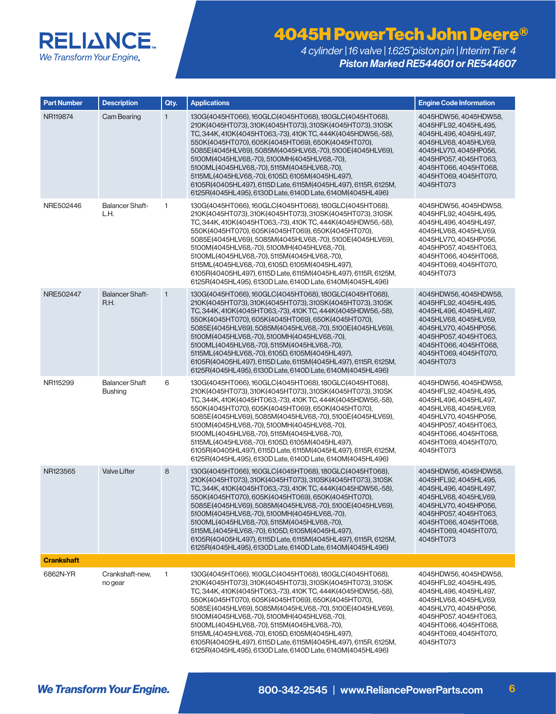

| <b>Part Number</b> | <b>Description</b>                      | Qty.         | <b>Applications</b>                                                                                                                                                                                                                                                                                                                                                                                                                                                                                                                                                                           | <b>Engine Code Information</b>                                                                                                                                                                                    |
|--------------------|-----------------------------------------|--------------|-----------------------------------------------------------------------------------------------------------------------------------------------------------------------------------------------------------------------------------------------------------------------------------------------------------------------------------------------------------------------------------------------------------------------------------------------------------------------------------------------------------------------------------------------------------------------------------------------|-------------------------------------------------------------------------------------------------------------------------------------------------------------------------------------------------------------------|
| NR119874           | Cam Bearing                             | 1            | 130G(4045HT066), 160GLC(4045HT068), 180GLC(4045HT068),<br>210K(4045HT073), 310K(4045HT073), 310SK(4045HT073), 310SK<br>TC, 344K, 410K (4045HT063, -73), 410K TC, 444K (4045HDW56, -58),<br>550K(4045HT070), 605K(4045HT069), 650K(4045HT070),<br>5085E(4045HLV69), 5085M(4045HLV68,-70), 5100E(4045HLV69),<br>5100M(4045HLV68,-70), 5100MH(4045HLV68,-70),<br>5100ML(4045HLV68,-70), 5115M(4045HLV68,-70),<br>5115ML(4045HLV68,-70), 6105D, 6105M(4045HL497),<br>6105R(40405HL497), 6115D Late, 6115M(4045HL497), 6115R, 6125M,<br>6125R(4045HL495), 6130D Late, 6140D Late, 6140M(4045HL496) | 4045HDW56, 4045HDW58,<br>4045HFL92, 4045HL495,<br>4045HL496, 4045HL497,<br>4045HLV68, 4045HLV69,<br>4045HLV70, 4045HP056,<br>4045HP057, 4045HT063,<br>4045HT066, 4045HT068,<br>4045HT069, 4045HT070,<br>4045HT073 |
| NRE502446          | <b>Balancer Shaft-</b><br>LH.           | 1            | 130G(4045HT066), 160GLC(4045HT068), 180GLC(4045HT068),<br>210K(4045HT073), 310K(4045HT073), 310SK(4045HT073), 310SK<br>TC, 344K, 410K (4045HT063, -73), 410K TC, 444K (4045HDW56, -58),<br>550K(4045HT070), 605K(4045HT069), 650K(4045HT070),<br>5085E(4045HLV69), 5085M(4045HLV68,-70), 5100E(4045HLV69),<br>5100M(4045HLV68,-70), 5100MH(4045HLV68,-70),<br>5100ML(4045HLV68,-70), 5115M(4045HLV68,-70),<br>5115ML(4045HLV68,-70), 6105D, 6105M(4045HL497),<br>6105R(40405HL497), 6115D Late, 6115M(4045HL497), 6115R, 6125M,<br>6125R(4045HL495), 6130D Late, 6140D Late, 6140M(4045HL496) | 4045HDW56, 4045HDW58,<br>4045HFL92, 4045HL495,<br>4045HL496, 4045HL497,<br>4045HLV68, 4045HLV69,<br>4045HLV70, 4045HP056,<br>4045HP057, 4045HT063,<br>4045HT066, 4045HT068,<br>4045HT069, 4045HT070,<br>4045HT073 |
| NRE502447          | <b>Balancer Shaft-</b><br>R.H.          | $\mathbf{1}$ | 130G(4045HT066), 160GLC(4045HT068), 180GLC(4045HT068),<br>210K(4045HT073), 310K(4045HT073), 310SK(4045HT073), 310SK<br>TC, 344K, 410K(4045HT063,-73), 410K TC, 444K(4045HDW56,-58),<br>550K(4045HT070), 605K(4045HT069), 650K(4045HT070),<br>5085E(4045HLV69), 5085M(4045HLV68,-70), 5100E(4045HLV69),<br>5100M(4045HLV68,-70), 5100MH(4045HLV68,-70),<br>5100ML(4045HLV68,-70), 5115M(4045HLV68,-70),<br>5115ML(4045HLV68,-70), 6105D, 6105M(4045HL497),<br>6105R(40405HL497), 6115D Late, 6115M(4045HL497), 6115R, 6125M,<br>6125R(4045HL495), 6130D Late, 6140D Late, 6140M(4045HL496)     | 4045HDW56, 4045HDW58,<br>4045HFL92, 4045HL495,<br>4045HL496, 4045HL497.<br>4045HLV68, 4045HLV69,<br>4045HLV70, 4045HP056,<br>4045HP057, 4045HT063,<br>4045HT066, 4045HT068,<br>4045HT069, 4045HT070,<br>4045HT073 |
| NR115299           | <b>Balancer Shaft</b><br><b>Bushing</b> | 6            | 130G(4045HT066), 160GLC(4045HT068), 180GLC(4045HT068),<br>210K(4045HT073), 310K(4045HT073), 310SK(4045HT073), 310SK<br>TC, 344K, 410K(4045HT063,-73), 410K TC, 444K(4045HDW56,-58),<br>550K(4045HT070), 605K(4045HT069), 650K(4045HT070),<br>5085E(4045HLV69), 5085M(4045HLV68,-70), 5100E(4045HLV69),<br>5100M(4045HLV68,-70), 5100MH(4045HLV68,-70),<br>5100ML(4045HLV68,-70), 5115M(4045HLV68,-70),<br>5115ML(4045HLV68,-70), 6105D, 6105M(4045HL497),<br>6105R(40405HL497), 6115D Late, 6115M(4045HL497), 6115R, 6125M,<br>6125R(4045HL495), 6130D Late, 6140D Late, 6140M(4045HL496)     | 4045HDW56, 4045HDW58,<br>4045HFL92, 4045HL495,<br>4045HL496, 4045HL497,<br>4045HLV68, 4045HLV69,<br>4045HLV70, 4045HP056,<br>4045HP057, 4045HT063,<br>4045HT066, 4045HT068,<br>4045HT069, 4045HT070,<br>4045HT073 |
| NR123565           | <b>Valve Lifter</b>                     | 8            | 130G(4045HT066), 160GLC(4045HT068), 180GLC(4045HT068),<br>210K(4045HT073), 310K(4045HT073), 310SK(4045HT073), 310SK<br>TC, 344K, 410K(4045HT063,-73), 410K TC, 444K(4045HDW56,-58),<br>550K(4045HT070), 605K(4045HT069), 650K(4045HT070),<br>5085E(4045HLV69), 5085M(4045HLV68,-70), 5100E(4045HLV69),<br>5100M(4045HLV68,-70), 5100MH(4045HLV68,-70),<br>5100ML(4045HLV68,-70), 5115M(4045HLV68,-70),<br>5115ML(4045HLV68,-70), 6105D, 6105M(4045HL497),<br>6105R(40405HL497), 6115D Late, 6115M(4045HL497), 6115R, 6125M,<br>6125R(4045HL495), 6130D Late, 6140D Late, 6140M(4045HL496)     | 4045HDW56, 4045HDW58,<br>4045HFL92, 4045HL495,<br>4045HL496, 4045HL497,<br>4045HLV68, 4045HLV69,<br>4045HLV70.4045HP056.<br>4045HP057, 4045HT063,<br>4045HT066, 4045HT068,<br>4045HT069, 4045HT070,<br>4045HT073  |
| <b>Crankshaft</b>  |                                         |              |                                                                                                                                                                                                                                                                                                                                                                                                                                                                                                                                                                                               |                                                                                                                                                                                                                   |
| 6862N-YR           | Crankshaft-new,<br>no gear              | 1            | 130G(4045HT066), 160GLC(4045HT068), 180GLC(4045HT068),<br>210K(4045HT073), 310K(4045HT073), 310SK(4045HT073), 310SK<br>TC, 344K, 410K (4045HT063, -73), 410K TC, 444K (4045HDW56, -58),<br>550K(4045HT070), 605K(4045HT069), 650K(4045HT070),<br>5085E(4045HLV69), 5085M(4045HLV68,-70), 5100E(4045HLV69),<br>5100M(4045HLV68,-70), 5100MH(4045HLV68,-70),<br>5100ML(4045HLV68,-70), 5115M(4045HLV68,-70),<br>5115ML(4045HLV68,-70), 6105D, 6105M(4045HL497),<br>6105R(40405HL497), 6115D Late, 6115M(4045HL497), 6115R, 6125M,<br>6125R(4045HL495), 6130D Late, 6140D Late, 6140M(4045HL496) | 4045HDW56, 4045HDW58,<br>4045HFL92, 4045HL495,<br>4045HL496, 4045HL497,<br>4045HLV68, 4045HLV69,<br>4045HLV70, 4045HP056,<br>4045HP057, 4045HT063,<br>4045HT066, 4045HT068,<br>4045HT069, 4045HT070,<br>4045HT073 |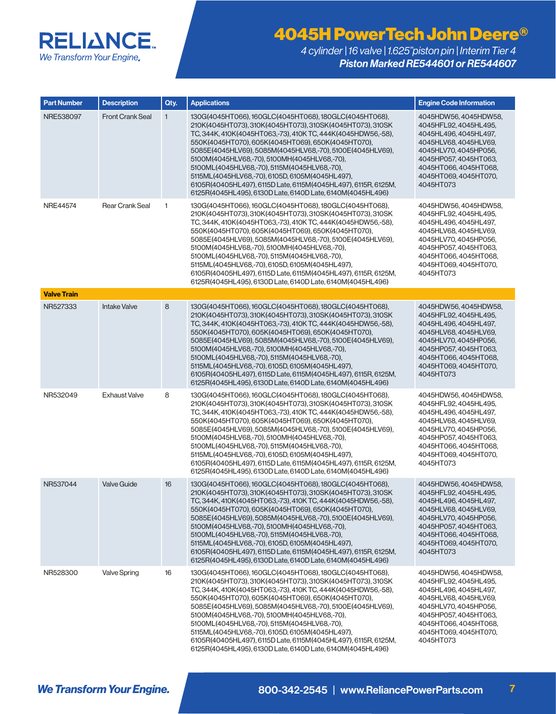

| <b>Part Number</b> | <b>Description</b>      | Qty.         | <b>Applications</b>                                                                                                                                                                                                                                                                                                                                                                                                                                                                                                                                                                           | <b>Engine Code Information</b>                                                                                                                                                                                    |
|--------------------|-------------------------|--------------|-----------------------------------------------------------------------------------------------------------------------------------------------------------------------------------------------------------------------------------------------------------------------------------------------------------------------------------------------------------------------------------------------------------------------------------------------------------------------------------------------------------------------------------------------------------------------------------------------|-------------------------------------------------------------------------------------------------------------------------------------------------------------------------------------------------------------------|
| NRE538097          | <b>Front Crank Seal</b> | $\mathbf{1}$ | 130G(4045HT066), 160GLC(4045HT068), 180GLC(4045HT068),<br>210K(4045HT073), 310K(4045HT073), 310SK(4045HT073), 310SK<br>TC, 344K, 410K (4045HT063, -73), 410K TC, 444K (4045HDW56, -58),<br>550K(4045HT070), 605K(4045HT069), 650K(4045HT070),<br>5085E(4045HLV69), 5085M(4045HLV68,-70), 5100E(4045HLV69),<br>5100M(4045HLV68,-70), 5100MH(4045HLV68,-70),<br>5100ML(4045HLV68,-70), 5115M(4045HLV68,-70),<br>5115ML(4045HLV68,-70), 6105D, 6105M(4045HL497),<br>6105R(40405HL497), 6115D Late, 6115M(4045HL497), 6115R, 6125M,<br>6125R(4045HL495), 6130D Late, 6140D Late, 6140M(4045HL496) | 4045HDW56, 4045HDW58,<br>4045HFL92, 4045HL495,<br>4045HL496, 4045HL497,<br>4045HLV68, 4045HLV69,<br>4045HLV70, 4045HP056,<br>4045HP057, 4045HT063,<br>4045HT066, 4045HT068,<br>4045HT069, 4045HT070,<br>4045HT073 |
| NRE44574           | <b>Rear Crank Seal</b>  | $\mathbf{1}$ | 130G(4045HT066), 160GLC(4045HT068), 180GLC(4045HT068),<br>210K(4045HT073), 310K(4045HT073), 310SK(4045HT073), 310SK<br>TC, 344K, 410K(4045HT063,-73), 410K TC, 444K(4045HDW56,-58),<br>550K(4045HT070), 605K(4045HT069), 650K(4045HT070),<br>5085E(4045HLV69), 5085M(4045HLV68,-70), 5100E(4045HLV69),<br>5100M(4045HLV68,-70), 5100MH(4045HLV68,-70),<br>5100ML(4045HLV68,-70), 5115M(4045HLV68,-70),<br>5115ML(4045HLV68,-70), 6105D, 6105M(4045HL497),<br>6105R(40405HL497), 6115D Late, 6115M(4045HL497), 6115R, 6125M,<br>6125R(4045HL495), 6130D Late, 6140D Late, 6140M(4045HL496)     | 4045HDW56, 4045HDW58,<br>4045HFL92, 4045HL495,<br>4045HL496, 4045HL497,<br>4045HLV68, 4045HLV69,<br>4045HLV70, 4045HP056,<br>4045HP057, 4045HT063,<br>4045HT066, 4045HT068,<br>4045HT069, 4045HT070,<br>4045HT073 |
| <b>Valve Train</b> |                         |              |                                                                                                                                                                                                                                                                                                                                                                                                                                                                                                                                                                                               |                                                                                                                                                                                                                   |
| NR527333           | <b>Intake Valve</b>     | 8            | 130G(4045HT066), 160GLC(4045HT068), 180GLC(4045HT068),<br>210K(4045HT073), 310K(4045HT073), 310SK(4045HT073), 310SK<br>TC, 344K, 410K(4045HT063,-73), 410K TC, 444K(4045HDW56,-58),<br>550K(4045HT070), 605K(4045HT069), 650K(4045HT070),<br>5085E(4045HLV69), 5085M(4045HLV68,-70), 5100E(4045HLV69),<br>5100M(4045HLV68,-70), 5100MH(4045HLV68,-70),<br>5100ML(4045HLV68,-70), 5115M(4045HLV68,-70),<br>5115ML(4045HLV68,-70), 6105D, 6105M(4045HL497),<br>6105R(40405HL497), 6115D Late, 6115M(4045HL497), 6115R, 6125M,<br>6125R(4045HL495), 6130D Late, 6140D Late, 6140M(4045HL496)     | 4045HDW56, 4045HDW58,<br>4045HFL92, 4045HL495,<br>4045HL496, 4045HL497,<br>4045HLV68, 4045HLV69,<br>4045HLV70, 4045HP056,<br>4045HP057, 4045HT063,<br>4045HT066, 4045HT068,<br>4045HT069, 4045HT070,<br>4045HT073 |
| NR532049           | <b>Exhaust Valve</b>    | 8            | 130G(4045HT066), 160GLC(4045HT068), 180GLC(4045HT068),<br>210K(4045HT073), 310K(4045HT073), 310SK(4045HT073), 310SK<br>TC, 344K, 410K(4045HT063,-73), 410K TC, 444K(4045HDW56,-58),<br>550K(4045HT070), 605K(4045HT069), 650K(4045HT070),<br>5085E(4045HLV69), 5085M(4045HLV68,-70), 5100E(4045HLV69),<br>5100M(4045HLV68,-70), 5100MH(4045HLV68,-70),<br>5100ML(4045HLV68,-70), 5115M(4045HLV68,-70),<br>5115ML(4045HLV68,-70), 6105D, 6105M(4045HL497),<br>6105R(40405HL497), 6115D Late, 6115M(4045HL497), 6115R, 6125M,<br>6125R(4045HL495), 6130D Late, 6140D Late, 6140M(4045HL496)     | 4045HDW56, 4045HDW58,<br>4045HFL92, 4045HL495,<br>4045HL496, 4045HL497,<br>4045HLV68, 4045HLV69,<br>4045HLV70, 4045HP056,<br>4045HP057, 4045HT063,<br>4045HT066, 4045HT068,<br>4045HT069, 4045HT070,<br>4045HT073 |
| NR537044           | <b>Valve Guide</b>      | 16           | 130G(4045HT066), 160GLC(4045HT068), 180GLC(4045HT068),<br>210K(4045HT073), 310K(4045HT073), 310SK(4045HT073), 310SK<br>TC, 344K, 410K (4045HT063, -73), 410K TC, 444K (4045HDW56, -58),<br>550K(4045HT070), 605K(4045HT069), 650K(4045HT070),<br>5085E(4045HLV69), 5085M(4045HLV68,-70), 5100E(4045HLV69),<br>5100M(4045HLV68,-70), 5100MH(4045HLV68,-70),<br>5100ML(4045HLV68,-70), 5115M(4045HLV68,-70),<br>5115ML(4045HLV68,-70), 6105D, 6105M(4045HL497),<br>6105R(40405HL497), 6115D Late, 6115M(4045HL497), 6115R, 6125M,<br>6125R(4045HL495), 6130D Late, 6140D Late, 6140M(4045HL496) | 4045HDW56, 4045HDW58,<br>4045HFL92, 4045HL495,<br>4045HL496, 4045HL497,<br>4045HLV68, 4045HLV69,<br>4045HLV70, 4045HP056,<br>4045HP057, 4045HT063,<br>4045HT066, 4045HT068,<br>4045HT069, 4045HT070,<br>4045HT073 |
| NR528300           | <b>Valve Spring</b>     | 16           | 130G(4045HT066), 160GLC(4045HT068), 180GLC(4045HT068),<br>210K(4045HT073), 310K(4045HT073), 310SK(4045HT073), 310SK<br>TC, 344K, 410K(4045HT063,-73), 410K TC, 444K(4045HDW56,-58),<br>550K(4045HT070), 605K(4045HT069), 650K(4045HT070),<br>5085E(4045HLV69), 5085M(4045HLV68,-70), 5100E(4045HLV69),<br>5100M(4045HLV68,-70), 5100MH(4045HLV68,-70),<br>5100ML(4045HLV68,-70), 5115M(4045HLV68,-70),<br>5115ML(4045HLV68,-70), 6105D, 6105M(4045HL497),<br>6105R(40405HL497), 6115D Late, 6115M(4045HL497), 6115R, 6125M,<br>6125R(4045HL495), 6130D Late, 6140D Late, 6140M(4045HL496)     | 4045HDW56, 4045HDW58,<br>4045HFL92, 4045HL495,<br>4045HL496, 4045HL497,<br>4045HLV68, 4045HLV69,<br>4045HLV70, 4045HP056,<br>4045HP057, 4045HT063,<br>4045HT066, 4045HT068,<br>4045HT069, 4045HT070,<br>4045HT073 |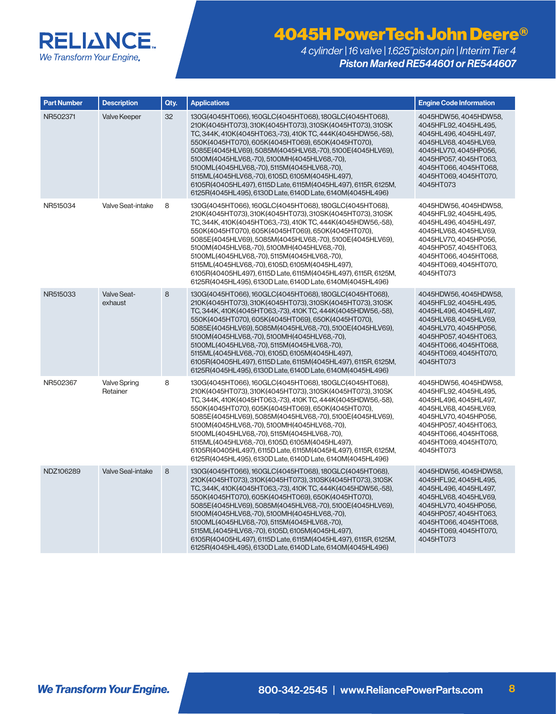

| <b>Part Number</b> | <b>Description</b>              | Qty. | <b>Applications</b>                                                                                                                                                                                                                                                                                                                                                                                                                                                                                                                                                                           | <b>Engine Code Information</b>                                                                                                                                                                                    |
|--------------------|---------------------------------|------|-----------------------------------------------------------------------------------------------------------------------------------------------------------------------------------------------------------------------------------------------------------------------------------------------------------------------------------------------------------------------------------------------------------------------------------------------------------------------------------------------------------------------------------------------------------------------------------------------|-------------------------------------------------------------------------------------------------------------------------------------------------------------------------------------------------------------------|
| NR502371           | <b>Valve Keeper</b>             | 32   | 130G(4045HT066), 160GLC(4045HT068), 180GLC(4045HT068),<br>210K(4045HT073), 310K(4045HT073), 310SK(4045HT073), 310SK<br>TC, 344K, 410K(4045HT063,-73), 410K TC, 444K(4045HDW56,-58),<br>550K(4045HT070), 605K(4045HT069), 650K(4045HT070),<br>5085E(4045HLV69), 5085M(4045HLV68,-70), 5100E(4045HLV69),<br>5100M(4045HLV68,-70), 5100MH(4045HLV68,-70),<br>5100ML(4045HLV68,-70), 5115M(4045HLV68,-70),<br>5115ML(4045HLV68,-70), 6105D, 6105M(4045HL497),<br>6105R(40405HL497), 6115D Late, 6115M(4045HL497), 6115R, 6125M,<br>6125R(4045HL495), 6130D Late, 6140D Late, 6140M(4045HL496)     | 4045HDW56, 4045HDW58,<br>4045HFL92, 4045HL495,<br>4045HL496, 4045HL497,<br>4045HLV68, 4045HLV69,<br>4045HLV70, 4045HP056,<br>4045HP057, 4045HT063,<br>4045HT066, 4045HT068,<br>4045HT069, 4045HT070,<br>4045HT073 |
| NR515034           | Valve Seat-intake               | 8    | 130G(4045HT066), 160GLC(4045HT068), 180GLC(4045HT068),<br>210K(4045HT073), 310K(4045HT073), 310SK(4045HT073), 310SK<br>TC, 344K, 410K (4045HT063, -73), 410K TC, 444K (4045HDW56, -58),<br>550K(4045HT070), 605K(4045HT069), 650K(4045HT070),<br>5085E(4045HLV69), 5085M(4045HLV68,-70), 5100E(4045HLV69),<br>5100M(4045HLV68,-70), 5100MH(4045HLV68,-70),<br>5100ML(4045HLV68,-70), 5115M(4045HLV68,-70),<br>5115ML(4045HLV68,-70), 6105D, 6105M(4045HL497),<br>6105R(40405HL497), 6115D Late, 6115M(4045HL497), 6115R, 6125M,<br>6125R(4045HL495), 6130D Late, 6140D Late, 6140M(4045HL496) | 4045HDW56, 4045HDW58,<br>4045HFL92, 4045HL495,<br>4045HL496, 4045HL497,<br>4045HLV68, 4045HLV69,<br>4045HLV70, 4045HP056,<br>4045HP057, 4045HT063,<br>4045HT066, 4045HT068,<br>4045HT069, 4045HT070,<br>4045HT073 |
| NR515033           | <b>Valve Seat-</b><br>exhaust   | 8    | 130G(4045HT066), 160GLC(4045HT068), 180GLC(4045HT068),<br>210K(4045HT073), 310K(4045HT073), 310SK(4045HT073), 310SK<br>TC, 344K, 410K(4045HT063,-73), 410K TC, 444K(4045HDW56,-58),<br>550K(4045HT070), 605K(4045HT069), 650K(4045HT070),<br>5085E(4045HLV69), 5085M(4045HLV68,-70), 5100E(4045HLV69),<br>5100M(4045HLV68,-70), 5100MH(4045HLV68,-70),<br>5100ML(4045HLV68,-70), 5115M(4045HLV68,-70),<br>5115ML(4045HLV68,-70), 6105D, 6105M(4045HL497),<br>6105R(40405HL497), 6115D Late, 6115M(4045HL497), 6115R, 6125M,<br>6125R(4045HL495), 6130D Late, 6140D Late, 6140M(4045HL496)     | 4045HDW56, 4045HDW58,<br>4045HFL92, 4045HL495,<br>4045HL496, 4045HL497,<br>4045HLV68, 4045HLV69,<br>4045HLV70, 4045HP056,<br>4045HP057, 4045HT063,<br>4045HT066, 4045HT068,<br>4045HT069, 4045HT070,<br>4045HT073 |
| NR502367           | <b>Valve Spring</b><br>Retainer | 8    | 130G(4045HT066), 160GLC(4045HT068), 180GLC(4045HT068),<br>210K(4045HT073), 310K(4045HT073), 310SK(4045HT073), 310SK<br>TC, 344K, 410K(4045HT063,-73), 410K TC, 444K(4045HDW56,-58),<br>550K(4045HT070), 605K(4045HT069), 650K(4045HT070),<br>5085E(4045HLV69), 5085M(4045HLV68,-70), 5100E(4045HLV69),<br>5100M(4045HLV68,-70), 5100MH(4045HLV68,-70),<br>5100ML(4045HLV68,-70), 5115M(4045HLV68,-70),<br>5115ML(4045HLV68,-70), 6105D, 6105M(4045HL497),<br>6105R(40405HL497), 6115D Late, 6115M(4045HL497), 6115R, 6125M,<br>6125R(4045HL495), 6130D Late, 6140D Late, 6140M(4045HL496)     | 4045HDW56, 4045HDW58,<br>4045HFL92, 4045HL495,<br>4045HL496, 4045HL497,<br>4045HLV68, 4045HLV69,<br>4045HLV70, 4045HP056,<br>4045HP057, 4045HT063,<br>4045HT066, 4045HT068,<br>4045HT069, 4045HT070,<br>4045HT073 |
| NDZ106289          | <b>Valve Seal-intake</b>        | 8    | 130G(4045HT066), 160GLC(4045HT068), 180GLC(4045HT068),<br>210K(4045HT073), 310K(4045HT073), 310SK(4045HT073), 310SK<br>TC, 344K, 410K(4045HT063,-73), 410K TC, 444K(4045HDW56,-58),<br>550K(4045HT070), 605K(4045HT069), 650K(4045HT070),<br>5085E(4045HLV69), 5085M(4045HLV68,-70), 5100E(4045HLV69),<br>5100M(4045HLV68,-70), 5100MH(4045HLV68,-70),<br>5100ML(4045HLV68,-70), 5115M(4045HLV68,-70),<br>5115ML(4045HLV68,-70), 6105D, 6105M(4045HL497),<br>6105R(40405HL497), 6115D Late, 6115M(4045HL497), 6115R, 6125M,<br>6125R(4045HL495), 6130D Late, 6140D Late, 6140M(4045HL496)     | 4045HDW56, 4045HDW58,<br>4045HFL92, 4045HL495,<br>4045HL496, 4045HL497,<br>4045HLV68, 4045HLV69,<br>4045HLV70, 4045HP056,<br>4045HP057, 4045HT063,<br>4045HT066, 4045HT068,<br>4045HT069, 4045HT070,<br>4045HT073 |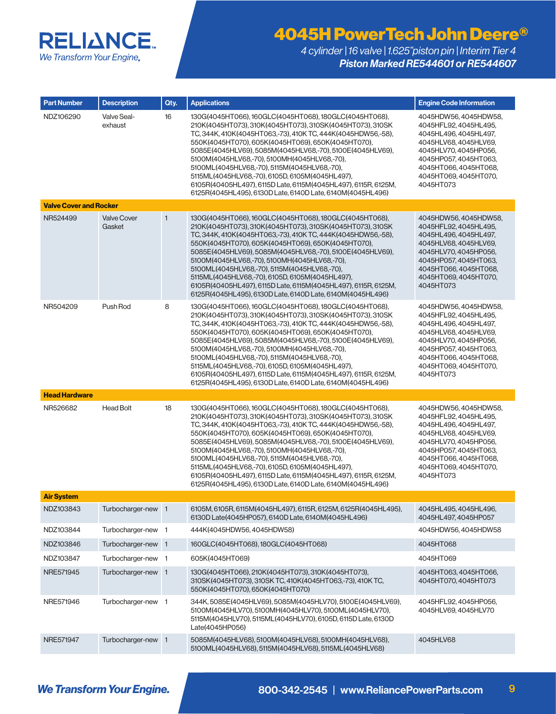

| <b>Part Number</b>            | <b>Description</b>           | Qty.         | <b>Applications</b>                                                                                                                                                                                                                                                                                                                                                                                                                                                                                                                                                                           | <b>Engine Code Information</b>                                                                                                                                                                                    |
|-------------------------------|------------------------------|--------------|-----------------------------------------------------------------------------------------------------------------------------------------------------------------------------------------------------------------------------------------------------------------------------------------------------------------------------------------------------------------------------------------------------------------------------------------------------------------------------------------------------------------------------------------------------------------------------------------------|-------------------------------------------------------------------------------------------------------------------------------------------------------------------------------------------------------------------|
| NDZ106290                     | Valve Seal-<br>exhaust       | 16           | 130G(4045HT066), 160GLC(4045HT068), 180GLC(4045HT068),<br>210K(4045HT073).310K(4045HT073).310SK(4045HT073).310SK<br>TC, 344K, 410K(4045HT063,-73), 410K TC, 444K(4045HDW56,-58),<br>550K(4045HT070), 605K(4045HT069), 650K(4045HT070),<br>5085E(4045HLV69), 5085M(4045HLV68,-70), 5100E(4045HLV69),<br>5100M(4045HLV68,-70), 5100MH(4045HLV68,-70),<br>5100ML(4045HLV68,-70), 5115M(4045HLV68,-70),<br>5115ML(4045HLV68,-70), 6105D, 6105M(4045HL497),<br>6105R(40405HL497), 6115D Late, 6115M(4045HL497), 6115R, 6125M,<br>6125R(4045HL495), 6130D Late, 6140D Late, 6140M(4045HL496)        | 4045HDW56, 4045HDW58,<br>4045HFL92.4045HL495.<br>4045HL496, 4045HL497,<br>4045HLV68, 4045HLV69,<br>4045HLV70, 4045HP056,<br>4045HP057, 4045HT063,<br>4045HT066, 4045HT068,<br>4045HT069, 4045HT070,<br>4045HT073  |
| <b>Valve Cover and Rocker</b> |                              |              |                                                                                                                                                                                                                                                                                                                                                                                                                                                                                                                                                                                               |                                                                                                                                                                                                                   |
| NR524499                      | <b>Valve Cover</b><br>Gasket | $\mathbf{1}$ | 130G(4045HT066), 160GLC(4045HT068), 180GLC(4045HT068),<br>210K(4045HT073), 310K(4045HT073), 310SK(4045HT073), 310SK<br>TC, 344K, 410K (4045HT063, -73), 410K TC, 444K (4045HDW56, -58),<br>550K(4045HT070), 605K(4045HT069), 650K(4045HT070),<br>5085E(4045HLV69), 5085M(4045HLV68,-70), 5100E(4045HLV69),<br>5100M(4045HLV68,-70), 5100MH(4045HLV68,-70),<br>5100ML(4045HLV68,-70), 5115M(4045HLV68,-70),<br>5115ML(4045HLV68,-70), 6105D, 6105M(4045HL497),<br>6105R(40405HL497), 6115D Late, 6115M(4045HL497), 6115R, 6125M,<br>6125R(4045HL495), 6130D Late, 6140D Late, 6140M(4045HL496) | 4045HDW56, 4045HDW58,<br>4045HFL92, 4045HL495,<br>4045HL496, 4045HL497,<br>4045HLV68, 4045HLV69,<br>4045HLV70, 4045HP056,<br>4045HP057, 4045HT063,<br>4045HT066, 4045HT068,<br>4045HT069, 4045HT070,<br>4045HT073 |
| NR504209                      | Push Rod                     | 8            | 130G(4045HT066), 160GLC(4045HT068), 180GLC(4045HT068),<br>210K(4045HT073), 310K(4045HT073), 310SK(4045HT073), 310SK<br>TC. 344K, 410K (4045HT063, -73), 410K TC, 444K (4045HDW56, -58),<br>550K(4045HT070), 605K(4045HT069), 650K(4045HT070),<br>5085E(4045HLV69), 5085M(4045HLV68,-70), 5100E(4045HLV69),<br>5100M(4045HLV68,-70), 5100MH(4045HLV68,-70),<br>5100ML(4045HLV68,-70), 5115M(4045HLV68,-70),<br>5115ML(4045HLV68,-70), 6105D, 6105M(4045HL497),<br>6105R(40405HL497), 6115D Late, 6115M(4045HL497), 6115R, 6125M,<br>6125R(4045HL495), 6130D Late, 6140D Late, 6140M(4045HL496) | 4045HDW56, 4045HDW58,<br>4045HFL92, 4045HL495,<br>4045HL496, 4045HL497,<br>4045HLV68, 4045HLV69,<br>4045HLV70, 4045HP056,<br>4045HP057, 4045HT063,<br>4045HT066, 4045HT068,<br>4045HT069, 4045HT070,<br>4045HT073 |
| <b>Head Hardware</b>          |                              |              |                                                                                                                                                                                                                                                                                                                                                                                                                                                                                                                                                                                               |                                                                                                                                                                                                                   |
| NR526682                      | <b>Head Bolt</b>             | 18           | 130G(4045HT066), 160GLC(4045HT068), 180GLC(4045HT068),<br>210K(4045HT073), 310K(4045HT073), 310SK(4045HT073), 310SK<br>TC, 344K, 410K(4045HT063,-73), 410K TC, 444K(4045HDW56,-58),<br>550K(4045HT070), 605K(4045HT069), 650K(4045HT070),<br>5085E(4045HLV69), 5085M(4045HLV68,-70), 5100E(4045HLV69),<br>5100M(4045HLV68,-70), 5100MH(4045HLV68,-70),<br>5100ML(4045HLV68,-70), 5115M(4045HLV68,-70),<br>5115ML(4045HLV68,-70), 6105D, 6105M(4045HL497),<br>6105R(40405HL497), 6115D Late, 6115M(4045HL497), 6115R, 6125M,<br>6125R(4045HL495), 6130D Late, 6140D Late, 6140M(4045HL496)     | 4045HDW56, 4045HDW58,<br>4045HFL92, 4045HL495,<br>4045HL496, 4045HL497,<br>4045HLV68, 4045HLV69,<br>4045HLV70, 4045HP056,<br>4045HP057, 4045HT063,<br>4045HT066, 4045HT068,<br>4045HT069, 4045HT070,<br>4045HT073 |
| <b>Air System</b>             |                              |              |                                                                                                                                                                                                                                                                                                                                                                                                                                                                                                                                                                                               |                                                                                                                                                                                                                   |
| NDZ103843                     | Turbocharger-new 1           |              | 6105M, 6105R, 6115M(4045HL497), 6115R, 6125M, 6125R(4045HL495),<br>6130D Late(4045HP057), 6140D Late, 6140M(4045HL496)                                                                                                                                                                                                                                                                                                                                                                                                                                                                        | 4045HL495, 4045HL496,<br>4045HL497, 4045HP057                                                                                                                                                                     |
| NDZ103844                     | Turbocharger-new 1           |              | 444K(4045HDW56, 4045HDW58)                                                                                                                                                                                                                                                                                                                                                                                                                                                                                                                                                                    | 4045HDW56, 4045HDW58                                                                                                                                                                                              |
| NDZ103846                     | Turbocharger-new 1           |              | 160GLC(4045HT068), 180GLC(4045HT068)                                                                                                                                                                                                                                                                                                                                                                                                                                                                                                                                                          | 4045HT068                                                                                                                                                                                                         |
| NDZ103847                     | Turbocharger-new 1           |              | 605K(4045HT069)                                                                                                                                                                                                                                                                                                                                                                                                                                                                                                                                                                               | 4045HT069                                                                                                                                                                                                         |
| NRE571945                     | Turbocharger-new 1           |              | 130G(4045HT066), 210K(4045HT073), 310K(4045HT073),<br>310SK(4045HT073), 310SK TC, 410K(4045HT063,-73), 410K TC,<br>550K(4045HT070), 650K(4045HT070)                                                                                                                                                                                                                                                                                                                                                                                                                                           | 4045HT063, 4045HT066,<br>4045HT070, 4045HT073                                                                                                                                                                     |
| NRE571946                     | Turbocharger-new 1           |              | 344K, 5085E(4045HLV69), 5085M(4045HLV70), 5100E(4045HLV69),<br>5100M(4045HLV70), 5100MH(4045HLV70), 5100ML(4045HLV70),<br>5115M(4045HLV70), 5115ML(4045HLV70), 6105D, 6115D Late, 6130D<br>Late(4045HP056)                                                                                                                                                                                                                                                                                                                                                                                    | 4045HFL92, 4045HP056,<br>4045HLV69, 4045HLV70                                                                                                                                                                     |
| NRE571947                     | Turbocharger-new 1           |              | 5085M(4045HLV68), 5100M(4045HLV68), 5100MH(4045HLV68),<br>5100ML(4045HLV68), 5115M(4045HLV68), 5115ML(4045HLV68)                                                                                                                                                                                                                                                                                                                                                                                                                                                                              | 4045HLV68                                                                                                                                                                                                         |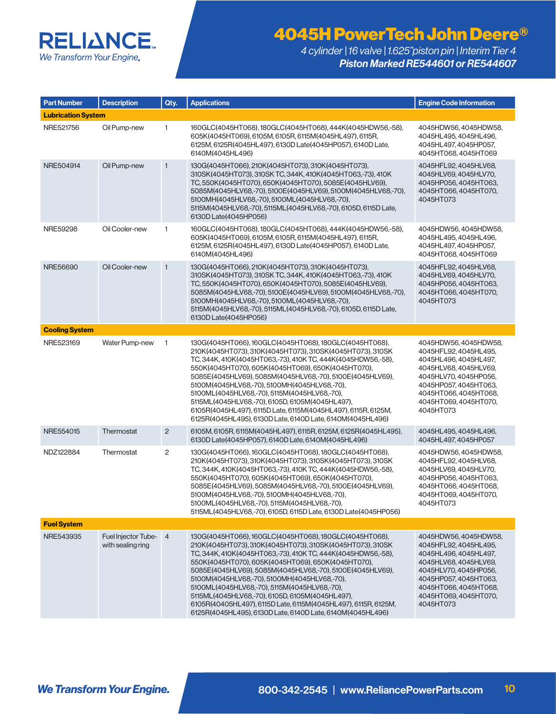### **RELIANCE.** We Transform Your Engine.

# 4045H PowerTech John Deere®

| <b>Part Number</b>        | <b>Description</b>                       | Qty.           | <b>Applications</b>                                                                                                                                                                                                                                                                                                                                                                                                                                                                                                                                                                       | <b>Engine Code Information</b>                                                                                                                                                                                    |
|---------------------------|------------------------------------------|----------------|-------------------------------------------------------------------------------------------------------------------------------------------------------------------------------------------------------------------------------------------------------------------------------------------------------------------------------------------------------------------------------------------------------------------------------------------------------------------------------------------------------------------------------------------------------------------------------------------|-------------------------------------------------------------------------------------------------------------------------------------------------------------------------------------------------------------------|
| <b>Lubrication System</b> |                                          |                |                                                                                                                                                                                                                                                                                                                                                                                                                                                                                                                                                                                           |                                                                                                                                                                                                                   |
| NRE521756                 | Oil Pump-new                             | $\mathbf{1}$   | 160GLC(4045HT068), 180GLC(4045HT068), 444K(4045HDW56,-58),<br>605K(4045HT069), 6105M, 6105R, 6115M(4045HL497), 6115R,<br>6125M, 6125R(4045HL497), 6130D Late(4045HP057), 6140D Late,<br>6140M(4045HL496)                                                                                                                                                                                                                                                                                                                                                                                  | 4045HDW56, 4045HDW58,<br>4045HL495, 4045HL496,<br>4045HL497, 4045HP057,<br>4045HT068, 4045HT069                                                                                                                   |
| NRE504914                 | Oil Pump-new                             | $\mathbf{1}$   | 130G(4045HT066), 210K(4045HT073), 310K(4045HT073),<br>310SK(4045HT073), 310SK TC, 344K, 410K(4045HT063,-73), 410K<br>TC, 550K(4045HT070), 650K(4045HT070), 5085E(4045HLV69),<br>5085M(4045HLV68,-70), 5100E(4045HLV69), 5100M(4045HLV68,-70),<br>5100MH(4045HLV68,-70), 5100ML(4045HLV68,-70),<br>5115M(4045HLV68,-70), 5115ML(4045HLV68,-70), 6105D, 6115D Late,<br>6130D Late(4045HP056)                                                                                                                                                                                                | 4045HFL92, 4045HLV68,<br>4045HLV69, 4045HLV70,<br>4045HP056, 4045HT063,<br>4045HT066, 4045HT070,<br>4045HT073                                                                                                     |
| NRE59298                  | Oil Cooler-new                           | 1              | 160GLC(4045HT068), 180GLC(4045HT068), 444K(4045HDW56,-58),<br>605K(4045HT069), 6105M, 6105R, 6115M(4045HL497), 6115R,<br>6125M, 6125R(4045HL497), 6130D Late(4045HP057), 6140D Late,<br>6140M(4045HL496)                                                                                                                                                                                                                                                                                                                                                                                  | 4045HDW56, 4045HDW58,<br>4045HL495, 4045HL496,<br>4045HL497, 4045HP057,<br>4045HT068, 4045HT069                                                                                                                   |
| NRE56690                  | Oil Cooler-new                           | $\mathbf{1}$   | 130G(4045HT066), 210K(4045HT073), 310K(4045HT073),<br>310SK(4045HT073), 310SK TC, 344K, 410K(4045HT063,-73), 410K<br>TC, 550K(4045HT070), 650K(4045HT070), 5085E(4045HLV69),<br>5085M(4045HLV68,-70), 5100E(4045HLV69), 5100M(4045HLV68,-70),<br>5100MH(4045HLV68,-70), 5100ML(4045HLV68,-70),<br>5115M(4045HLV68,-70), 5115ML(4045HLV68,-70), 6105D, 6115D Late,<br>6130D Late(4045HP056)                                                                                                                                                                                                | 4045HFL92, 4045HLV68,<br>4045HLV69.4045HLV70.<br>4045HP056, 4045HT063,<br>4045HT066, 4045HT070,<br>4045HT073                                                                                                      |
| <b>Cooling System</b>     |                                          |                |                                                                                                                                                                                                                                                                                                                                                                                                                                                                                                                                                                                           |                                                                                                                                                                                                                   |
| NRE523169                 | Water Pump-new                           | $\mathbf{1}$   | 130G(4045HT066), 160GLC(4045HT068), 180GLC(4045HT068),<br>210K(4045HT073), 310K(4045HT073), 310SK(4045HT073), 310SK<br>TC, 344K, 410K(4045HT063,-73), 410K TC, 444K(4045HDW56,-58),<br>550K(4045HT070), 605K(4045HT069), 650K(4045HT070),<br>5085E(4045HLV69), 5085M(4045HLV68,-70), 5100E(4045HLV69),<br>5100M(4045HLV68,-70), 5100MH(4045HLV68,-70),<br>5100ML(4045HLV68,-70), 5115M(4045HLV68,-70),<br>5115ML(4045HLV68,-70), 6105D, 6105M(4045HL497),<br>6105R(4045HL497), 6115D Late, 6115M(4045HL497), 6115R, 6125M,<br>6125R(4045HL495), 6130D Late, 6140D Late, 6140M(4045HL496)  | 4045HDW56, 4045HDW58,<br>4045HFL92.4045HL495.<br>4045HL496, 4045HL497,<br>4045HLV68, 4045HLV69,<br>4045HLV70, 4045HP056,<br>4045HP057, 4045HT063,<br>4045HT066, 4045HT068,<br>4045HT069, 4045HT070,<br>4045HT073  |
| NRE554015                 | Thermostat                               | $\overline{c}$ | 6105M, 6105R, 6115M(4045HL497), 6115R, 6125M, 6125R(4045HL495),<br>6130D Late(4045HP057), 6140D Late, 6140M(4045HL496)                                                                                                                                                                                                                                                                                                                                                                                                                                                                    | 4045HL495, 4045HL496,<br>4045HL497, 4045HP057                                                                                                                                                                     |
| NDZ122884                 | Thermostat                               | 2              | 130G(4045HT066), 160GLC(4045HT068), 180GLC(4045HT068),<br>210K(4045HT073), 310K(4045HT073), 310SK(4045HT073), 310SK<br>TC, 344K, 410K(4045HT063,-73), 410K TC, 444K(4045HDW56,-58),<br>550K(4045HT070), 605K(4045HT069), 650K(4045HT070),<br>5085E(4045HLV69), 5085M(4045HLV68,-70), 5100E(4045HLV69),<br>5100M(4045HLV68,-70), 5100MH(4045HLV68,-70),<br>5100ML(4045HLV68,-70), 5115M(4045HLV68,-70),<br>5115ML(4045HLV68,-70), 6105D, 6115D Late, 6130D Late(4045HP056)                                                                                                                 | 4045HDW56, 4045HDW58,<br>4045HFL92, 4045HLV68,<br>4045HLV69, 4045HLV70,<br>4045HP056, 4045HT063,<br>4045HT066, 4045HT068,<br>4045HT069, 4045HT070,<br>4045HT073                                                   |
| <b>Fuel System</b>        |                                          |                |                                                                                                                                                                                                                                                                                                                                                                                                                                                                                                                                                                                           |                                                                                                                                                                                                                   |
| NRE543935                 | Fuel Injector Tube-<br>with sealing ring | $\overline{4}$ | 130G(4045HT066), 160GLC(4045HT068), 180GLC(4045HT068),<br>210K(4045HT073), 310K(4045HT073), 310SK(4045HT073), 310SK<br>TC, 344K, 410K(4045HT063,-73), 410K TC, 444K(4045HDW56,-58),<br>550K(4045HT070), 605K(4045HT069), 650K(4045HT070),<br>5085E(4045HLV69), 5085M(4045HLV68,-70), 5100E(4045HLV69),<br>5100M(4045HLV68,-70), 5100MH(4045HLV68,-70),<br>5100ML(4045HLV68,-70), 5115M(4045HLV68,-70),<br>5115ML(4045HLV68,-70), 6105D, 6105M(4045HL497),<br>6105R(40405HL497), 6115D Late, 6115M(4045HL497), 6115R, 6125M,<br>6125R(4045HL495), 6130D Late, 6140D Late, 6140M(4045HL496) | 4045HDW56, 4045HDW58,<br>4045HFL92, 4045HL495,<br>4045HL496, 4045HL497,<br>4045HLV68, 4045HLV69,<br>4045HLV70, 4045HP056,<br>4045HP057, 4045HT063,<br>4045HT066, 4045HT068,<br>4045HT069, 4045HT070,<br>4045HT073 |